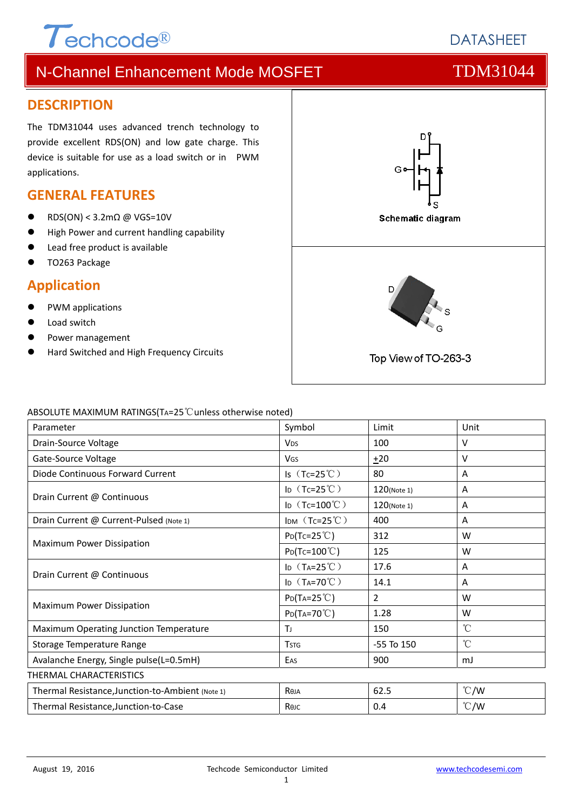# $\tau$ <sub>echcode®</sub>

# **DATASHEFT**

# N-Channel Enhancement Mode MOSFET TOM31044

#### **DESCRIPTION**

The TDM31044 uses advanced trench technology to provide excellent RDS(ON) and low gate charge. This device is suitable for use as a load switch or in PWM applications.

#### **GENERAL FEATURES**

- RDS(ON) < 3.2mΩ @ VGS=10V
- High Power and current handling capability
- Lead free product is available
- TO263 Package

#### **Application**

- PWM applications
- Load switch
- Power management
- Hard Switched and High Frequency Circuits



#### ABSOLUTE MAXIMUM RATINGS(TA=25℃unless otherwise noted)

| Parameter                                        | Symbol                     | Limit          | Unit            |
|--------------------------------------------------|----------------------------|----------------|-----------------|
| Drain-Source Voltage                             | <b>V<sub>DS</sub></b>      | 100            | v               |
| Gate-Source Voltage                              | <b>V<sub>GS</sub></b>      | $+20$          | v               |
| Diode Continuous Forward Current                 | Is $(Tc=25^{\circ}C)$      | 80             | A               |
|                                                  | ID $(Tc=25^{\circ}C)$      | 120(Note 1)    | A               |
| Drain Current @ Continuous                       | ID $(Tc=100^{\circ}C)$     | 120(Note 1)    | A               |
| Drain Current @ Current-Pulsed (Note 1)          | IDM $(Tc=25^{\circ}C)$     | 400            | A               |
| Maximum Power Dissipation                        | $P_{D}(Tc=25^{\circ}C)$    | 312            | W               |
|                                                  | $Po(Tc=100^{\circ}C)$      | 125            | W               |
|                                                  | ID $(T_A=25^{\circ}C)$     | 17.6           | A               |
| Drain Current @ Continuous                       | ID $(T_A=70^{\circ}C)$     | 14.1           | A               |
|                                                  | $P_{D}(T_{A}=25^{\circ}C)$ | $\overline{2}$ | W               |
| Maximum Power Dissipation                        | $P_{D}(Ta=70^{\circ}C)$    | 1.28           | W               |
| Maximum Operating Junction Temperature           | T                          | 150            | $\rm ^{\circ}C$ |
| Storage Temperature Range                        | <b>TSTG</b>                | $-55$ To $150$ | $\rm ^{\circ}C$ |
| Avalanche Energy, Single pulse(L=0.5mH)          | EAS                        | 900            | mJ              |
| THERMAL CHARACTERISTICS                          |                            |                |                 |
| Thermal Resistance, Junction-to-Ambient (Note 1) | Reja                       | 62.5           | $\degree$ C/W   |
| Thermal Resistance, Junction-to-Case             | Rejc                       | 0.4            | $\degree$ C/W   |

#### 1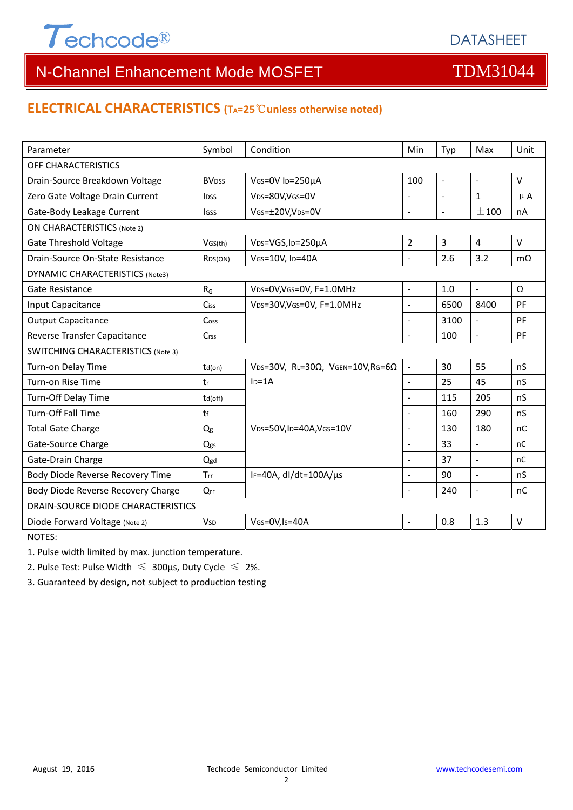

#### **ELECTRICAL CHARACTERISTICS (TA=25**℃**unless otherwise noted)**

| Parameter                                 | Symbol                  | Condition                                         | Min                      | Typ            | Max                      | Unit      |  |
|-------------------------------------------|-------------------------|---------------------------------------------------|--------------------------|----------------|--------------------------|-----------|--|
| OFF CHARACTERISTICS                       |                         |                                                   |                          |                |                          |           |  |
|                                           |                         |                                                   | 100<br>$\sim$            |                | $\overline{a}$           |           |  |
| Drain-Source Breakdown Voltage            | <b>BV<sub>DSS</sub></b> | VGS=0V ID=250µA                                   |                          |                |                          | $\vee$    |  |
| Zero Gate Voltage Drain Current           | <b>IDSS</b>             | VDS=80V,VGS=0V                                    |                          | $\overline{a}$ | $\mathbf{1}$             | $\mu$ A   |  |
| Gate-Body Leakage Current                 | <b>IGSS</b>             | VGS=±20V,VDS=0V                                   | $\Box$                   | ±100           | nA                       |           |  |
| <b>ON CHARACTERISTICS (Note 2)</b>        |                         |                                                   |                          |                |                          |           |  |
| <b>Gate Threshold Voltage</b>             | VGS(th)                 | VDS=VGS, ID=250µA                                 | 2                        | 3              | $\overline{4}$           | $\vee$    |  |
| Drain-Source On-State Resistance          | R <sub>DS</sub> (ON)    | VGS=10V, ID=40A                                   | L.                       | 2.6            | 3.2                      | $m\Omega$ |  |
| DYNAMIC CHARACTERISTICS (Note3)           |                         |                                                   |                          |                |                          |           |  |
| Gate Resistance                           | $R_G$                   | VDS=0V, VGS=0V, F=1.0MHz                          | $\blacksquare$           | 1.0            | $\sim$                   | Ω         |  |
| Input Capacitance                         | Ciss                    | VDS=30V, VGS=0V, F=1.0MHz                         | ÷,                       | 6500           | 8400                     | PF        |  |
| <b>Output Capacitance</b>                 | Coss                    |                                                   | ÷.                       | 3100           | $\sim$                   | PF        |  |
| Reverse Transfer Capacitance              | Crss                    |                                                   | L.                       | 100            | $\sim$                   | PF        |  |
| <b>SWITCHING CHARACTERISTICS (Note 3)</b> |                         |                                                   |                          |                |                          |           |  |
| Turn-on Delay Time                        | $td($ on $)$            | VDS=30V, RL=30 $\Omega$ , VGEN=10V, RG=6 $\Omega$ | $\overline{\phantom{a}}$ | 30             | 55                       | nS        |  |
| Turn-on Rise Time                         | tr                      | $ID=1A$                                           | $\overline{\phantom{a}}$ | 25             | 45                       | nS        |  |
| Turn-Off Delay Time                       | $td($ off $)$           |                                                   | $\overline{\phantom{0}}$ | 115            | 205                      | nS        |  |
| Turn-Off Fall Time                        | tf                      |                                                   | $\blacksquare$           | 160            | 290                      | nS        |  |
| <b>Total Gate Charge</b>                  | Q <sub>g</sub>          | VDS=50V,ID=40A,VGS=10V                            |                          | 130            | 180                      | nC        |  |
| Gate-Source Charge                        | Qgs                     |                                                   |                          | 33             | $\overline{\phantom{a}}$ | nC        |  |
| Gate-Drain Charge                         | Qgd                     |                                                   | ÷.                       | 37             | $\overline{\phantom{a}}$ | nC        |  |
| Body Diode Reverse Recovery Time          | Trr                     | IF=40A, dl/dt=100A/µs                             | $\overline{\phantom{0}}$ | 90             | $\overline{a}$           | nS        |  |
| Body Diode Reverse Recovery Charge        | Qrr                     |                                                   | ÷,                       | 240            | $\mathbb{Z}$             | nC        |  |
| DRAIN-SOURCE DIODE CHARACTERISTICS        |                         |                                                   |                          |                |                          |           |  |
| Diode Forward Voltage (Note 2)            | <b>V</b> sp             | VGS=0V,Is=40A                                     | $\blacksquare$           | 0.8            | 1.3                      | $\vee$    |  |
| NOTES:                                    |                         |                                                   |                          |                |                          |           |  |

1. Pulse width limited by max. junction temperature.

2. Pulse Test: Pulse Width  $\leq 300$ μs, Duty Cycle  $\leq 2\%$ .

3. Guaranteed by design, not subject to production testing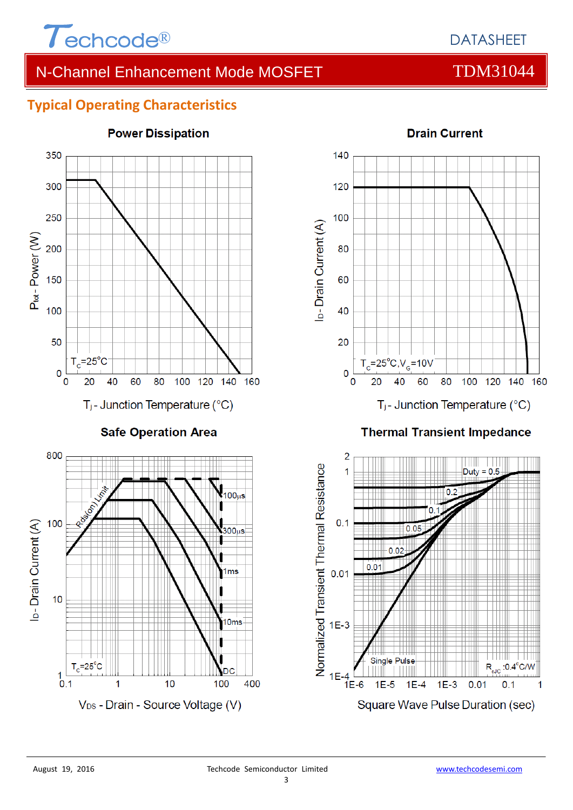

#### **Typical Operating Characteristics**







#### **Thermal Transient Impedance**



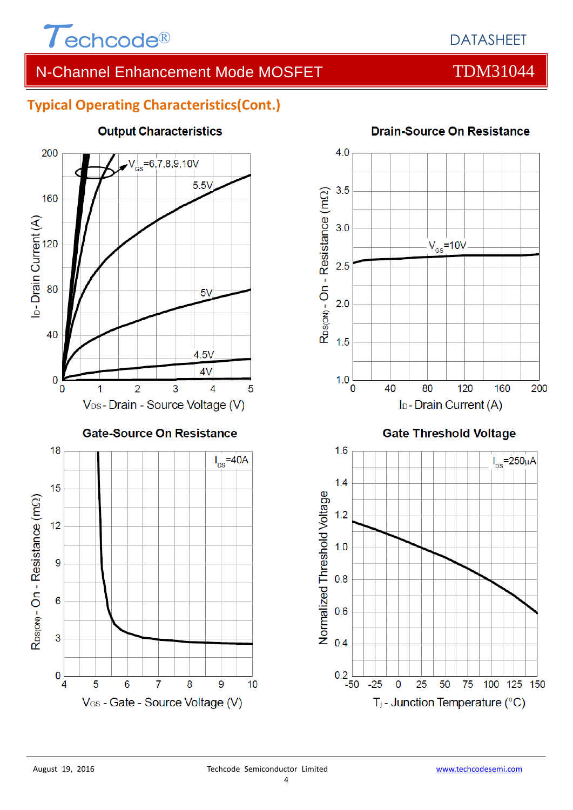

# **Typical Operating Characteristics(Cont.)**



#### **Output Characteristics**



#### **Drain-Source On Resistance**

 $0.4$ 

 $0.2\begin{array}{|c|} \hline 0.2 & -50 \end{array}$ 

 $-25$ 

 $\overline{0}$ 

25

50

T<sub>j</sub> - Junction Temperature (°C)

75

100 125 150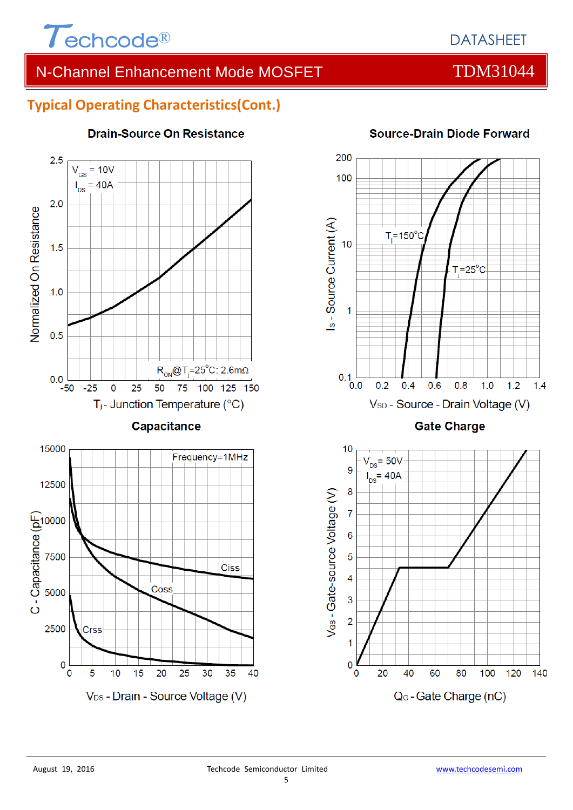

### **Typical Operating Characteristics(Cont.)**



#### **Drain-Source On Resistance**



#### **Source-Drain Diode Forward**

Q<sub>G</sub> - Gate Charge (nC)

80

100

120

140

60

 $\overline{4}$ 

3

 $\overline{2}$ 

1

 $\overline{0}$ 

0

20

40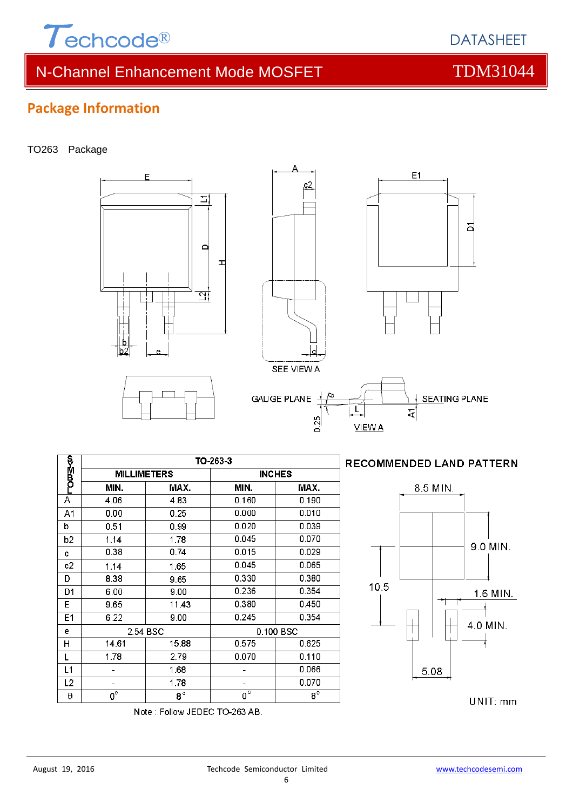

킈

d

과

ᆋ

E

### **Package Information**

#### TO263 Package

|                  |                                 |                               |                                 | 0.25      |  |  |  |  |
|------------------|---------------------------------|-------------------------------|---------------------------------|-----------|--|--|--|--|
|                  | TO-263-3                        |                               |                                 |           |  |  |  |  |
| <b>v&gt;™ao_</b> | <b>MILLIMETERS</b>              |                               | <b>INCHES</b>                   |           |  |  |  |  |
|                  | MIN.                            | MAX.                          | MIN.                            | MAX.      |  |  |  |  |
| Ā                | 4.06                            | 4.83                          | 0.160                           | 0.190     |  |  |  |  |
| A1               | 0.00                            | 0.25                          | 0.000                           | 0.010     |  |  |  |  |
| b                | 0.51                            | 0.99                          | 0.020                           | 0.039     |  |  |  |  |
| b2               | 1.14                            | 1.78                          | 0.045                           | 0.070     |  |  |  |  |
| c                | 0.38                            | 0.74                          | 0.015                           | 0.029     |  |  |  |  |
| c2               | 1.14                            | 1.65                          | 0.045                           | 0.065     |  |  |  |  |
| D                | 8.38                            | 9.65                          | 0.330                           | 0.380     |  |  |  |  |
| D1               | 6.00                            | 9.00                          | 0.236                           | 0.354     |  |  |  |  |
| Е                | 9.65                            | 11.43                         | 0.380                           | 0.450     |  |  |  |  |
| E1               | 6.22                            | 9.00                          | 0.245                           | 0.354     |  |  |  |  |
| e                | 2.54 BSC                        |                               | 0.100 BSC                       |           |  |  |  |  |
| Η                | 14.61                           | 15.88                         | 0.575                           | 0.625     |  |  |  |  |
| L                | 1.78                            | 2.79                          | 0.070                           | 0.110     |  |  |  |  |
| L1               | -                               | 1.68                          |                                 | 0.066     |  |  |  |  |
| L2               |                                 | 1.78                          |                                 | 0.070     |  |  |  |  |
| θ                | $\overline{\mathbf{0}^{\circ}}$ | $8^\circ$                     | $\mathbf{0}^{\overline{\circ}}$ | $8^\circ$ |  |  |  |  |
|                  |                                 | Note : Follow JEDEC TO 263 AR |                                 |           |  |  |  |  |

NOTE : FOIIOW JEUEU TU-ZOS AB.



UNIT: mm

RECOMMENDED LAND PATTERN



DATASHEET